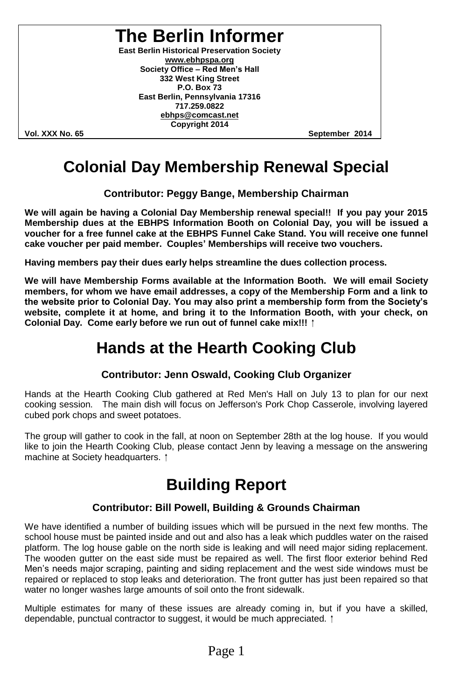**The Berlin Informer**

**East Berlin Historical Preservation Society www.ebhpspa.org** Society Office - Red Men's Hall **332 West King Street P.O. Box 73 East Berlin, Pennsylvania 17316 717.259.0822 ebhps@comcast.net Copyright 2014**

**Vol. XXX No. 65 September 2014**

#### **Colonial Day Membership Renewal Special**

**Contributor: Peggy Bange, Membership Chairman**

**We will again be having a Colonial Day Membership renewal special!! If you pay your 2015 Membership dues at the EBHPS Information Booth on Colonial Day, you will be issued a voucher for a free funnel cake at the EBHPS Funnel Cake Stand. You will receive one funnel cake voucher per paid member. Couples'Memberships will receive two vouchers.**

**Having members pay their dues early helps streamline the dues collection process.**

**We will have Membership Forms available at the Information Booth. We will email Society members, for whom we have email addresses, a copy of the Membership Form and a link to thewebsitepriortoColonialDay.Youmayalsoprintamembershipform from theSociety's website, complete it at home, and bring it to the Information Booth, with your check, on Colonial Day. Come early before we run out of funnel cake mix!!!**

#### **Hands at the Hearth Cooking Club**

#### **Contributor: Jenn Oswald, Cooking Club Organizer**

Hands at the Hearth Cooking Club gathered at Red Men's Hall on July 13 to plan for our next cooking session. The main dish will focus on Jefferson's Pork Chop Casserole, involving layered cubed pork chops and sweet potatoes.

The group will gather to cook in the fall, at noon on September 28th at the log house. If you would like to join the Hearth Cooking Club, please contact Jenn by leaving a message on the answering machine at Society headquarters. 1

#### **Building Report**

#### **Contributor: Bill Powell, Building & Grounds Chairman**

We have identified a number of building issues which will be pursued in the next few months. The school house must be painted inside and out and also has a leak which puddles water on the raised platform. The log house gable on the north side is leaking and will need major siding replacement. The wooden gutter on the east side must be repaired as well. The first floor exterior behind Red Men's needs major scraping, painting and siding replacement and the west side windows must be repaired or replaced to stop leaks and deterioration. The front gutter has just been repaired so that water no longer washes large amounts of soil onto the front sidewalk.

Multiple estimates for many of these issues are already coming in, but if you have a skilled, dependable, punctual contractor to suggest, it would be much appreciated.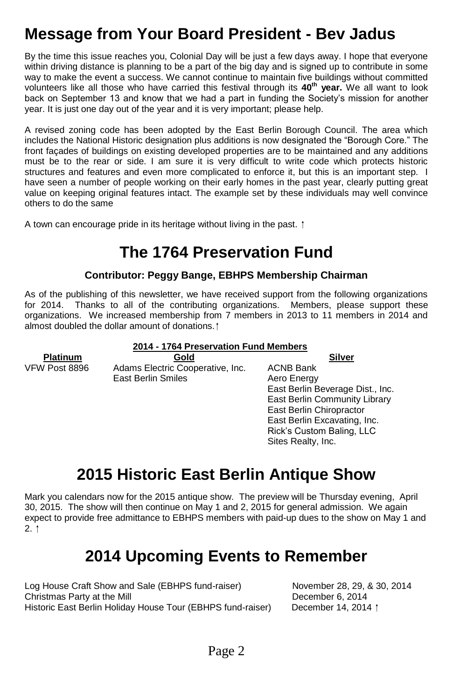### **Message from Your Board President - Bev Jadus**

By the time this issue reaches you, Colonial Day will be just a few days away. I hope that everyone within driving distance is planning to be a part of the big day and is signed up to contribute in some way to make the event a success. We cannot continue to maintain five buildings without committed volunteers like all those who have carried this festival through its **40th year.** We all want to look back on September 13 and know that we had a part in funding the Society's mission for another year. It is just one day out of the year and it is very important; please help.

A revised zoning code has been adopted by the East Berlin Borough Council. The area which includes the National Historic designation plus additions is now designated the "Borough Core." The front façades of buildings on existing developed properties are to be maintained and any additions must be to the rear or side. I am sure it is very difficult to write code which protects historic structures and features and even more complicated to enforce it, but this is an important step. I have seen a number of people working on their early homes in the past year, clearly putting great value on keeping original features intact. The example set by these individuals may well convince others to do the same

A town can encourage pride in its heritage without living in the past. <sup>†</sup>

### **The 1764 Preservation Fund**

#### **Contributor: Peggy Bange, EBHPS Membership Chairman**

As of the publishing of this newsletter, we have received support from the following organizations for 2014. Thanks to all of the contributing organizations. Members, please support these organizations. We increased membership from 7 members in 2013 to 11 members in 2014 and almost doubled the dollar amount of donations.

#### **2014 - 1764 Preservation Fund Members**

**Platinum**<br> **VFW Post 8896** Adams Electric Cooperative, Inc. ACNB Bank Adams Electric Cooperative, Inc. ACNB Bank East Berlin Smiles **Aero** Energy

East Berlin Beverage Dist., Inc. East Berlin Community Library East Berlin Chiropractor East Berlin Excavating, Inc. Rick's Custom Baling, LLC Sites Realty, Inc.

### **2015 Historic East Berlin Antique Show**

Mark you calendars now for the 2015 antique show. The preview will be Thursday evening, April 30, 2015. The show will then continue on May 1 and 2, 2015 for general admission. We again expect to provide free admittance to EBHPS members with paid-up dues to the show on May 1 and  $2.1$ 

#### **2014 Upcoming Events to Remember**

| Log House Craft Show and Sale (EBHPS fund-raiser)           |
|-------------------------------------------------------------|
| Christmas Party at the Mill                                 |
| Historic East Berlin Holiday House Tour (EBHPS fund-raiser) |

November 28, 29, & 30, 2014 December 6, 2014 December 14, 2014  $\dagger$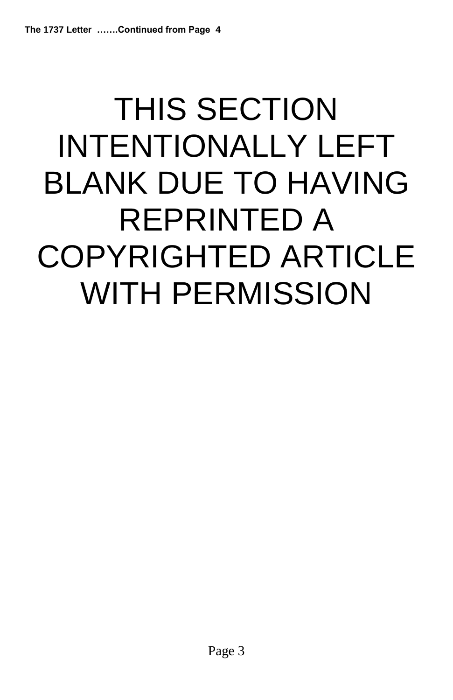# THIS SECTION INTENTIONALLY LEFT BLANK DUE TO HAVING REPRINTED A COPYRIGHTED ARTICLE WITH PERMISSION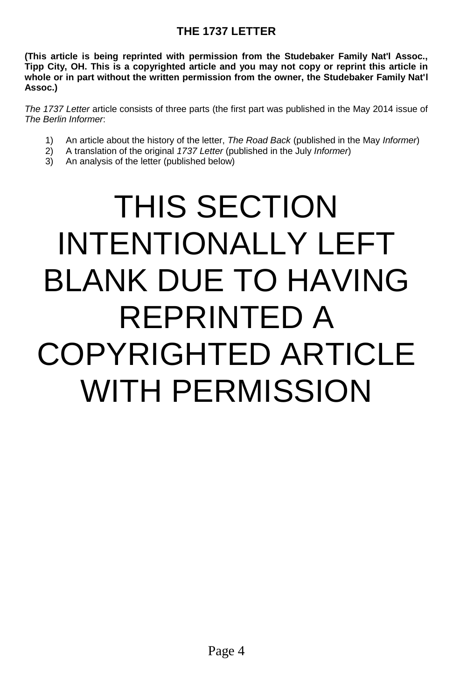#### **THE 1737 LETTER**

**(This article is being reprinted with permission from the Studebaker Family Nat'l Assoc., Tipp City, OH. This is a copyrighted article and you may not copy or reprint this article in whole or in part without the written permission from the owner, the Studebaker Family Nat'l Assoc.)**

*The 1737 Letter* article consists of three parts (the first part was published in the May 2014 issue of *The Berlin Informer*:

- 1) An article about the history of the letter, *The Road Back* (published in the May *Informer*)
- 2) A translation of the original *1737 Letter* (published in the July *Informer*)
- 3) An analysis of the letter (published below)

## THIS SECTION INTENTIONALLY LEFT BLANK DUE TO HAVING REPRINTED A COPYRIGHTED ARTICLE WITH PERMISSION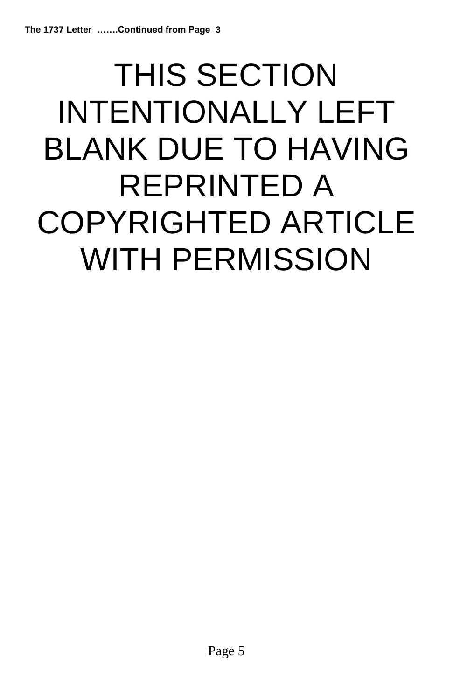# THIS SECTION INTENTIONALLY LEFT BLANK DUE TO HAVING REPRINTED A COPYRIGHTED ARTICLE WITH PERMISSION